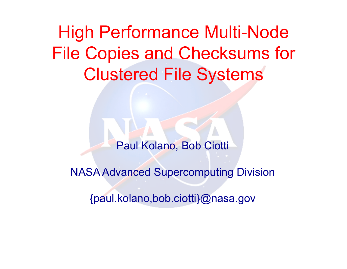High Performance Multi-Node File Copies and Checksums for Clustered File Systems

Paul Kolano, Bob Ciotti

NASA Advanced Supercomputing Division

{paul.kolano,bob.ciotti}@nasa.gov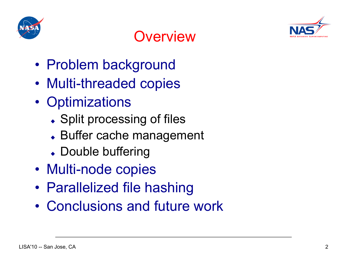



## **Overview**

- Problem background
- Multi-threaded copies
- Optimizations
	- Split processing of files
	- ◆ Buffer cache management
	- Double buffering
- Multi-node copies
- Parallelized file hashing
- Conclusions and future work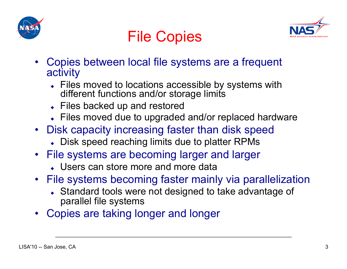



## File Copies

- Copies between local file systems are a frequent activity
	- Files moved to locations accessible by systems with different functions and/or storage limits
	- ◆ Files backed up and restored
	- Files moved due to upgraded and/or replaced hardware
- Disk capacity increasing faster than disk speed
	- Disk speed reaching limits due to platter RPMs
- File systems are becoming larger and larger
	- Users can store more and more data
- File systems becoming faster mainly via parallelization
	- Standard tools were not designed to take advantage of parallel file systems
- Copies are taking longer and longer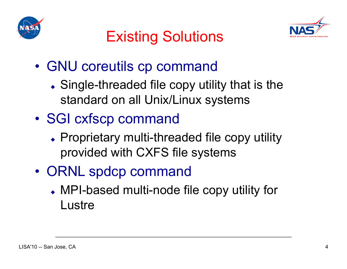



## Existing Solutions

- GNU coreutils cp command
	- Single-threaded file copy utility that is the standard on all Unix/Linux systems
- SGI cxfscp command
	- Proprietary multi-threaded file copy utility provided with CXFS file systems
- ORNL spdcp command
	- MPI-based multi-node file copy utility for **Lustre**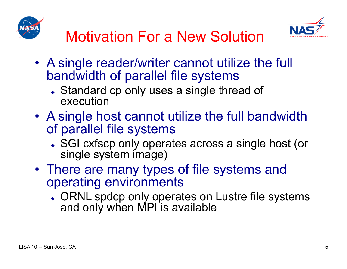



- A single reader/writer cannot utilize the full bandwidth of parallel file systems
	- ◆ Standard cp only uses a single thread of execution
- A single host cannot utilize the full bandwidth of parallel file systems
	- ◆ SGI cxfscp only operates across a single host (or single system image)
- There are many types of file systems and operating environments
	- ORNL spdcp only operates on Lustre file systems and only when MPI is available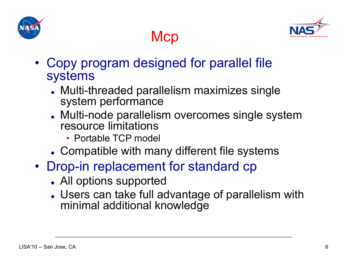



- Copy program designed for parallel file systems
	- Multi-threaded parallelism maximizes single system performance

**Mcp** 

- Multi-node parallelism overcomes single system resource limitations
	- Portable TCP model
- Compatible with many different file systems
- Drop-in replacement for standard cp
	- All options supported
	- Users can take full advantage of parallelism with minimal additional knowledge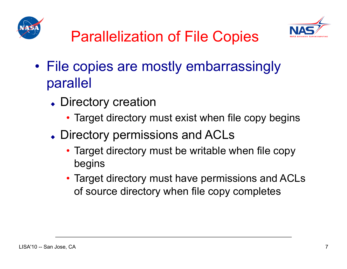



- File copies are mostly embarrassingly parallel
	- Directory creation
		- Target directory must exist when file copy begins
	- Directory permissions and ACLs
		- Target directory must be writable when file copy begins
		- Target directory must have permissions and ACLs of source directory when file copy completes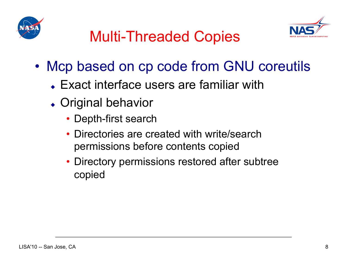



# Multi-Threaded Copies

- Mcp based on cp code from GNU coreutils
	- Exact interface users are familiar with
	- Original behavior
		- Depth-first search
		- Directories are created with write/search permissions before contents copied
		- Directory permissions restored after subtree copied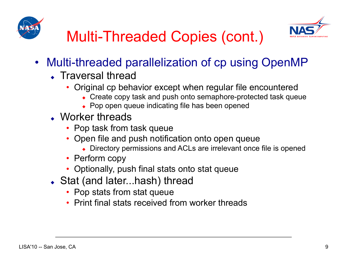



# Multi-Threaded Copies (cont.)

- Multi-threaded parallelization of cp using OpenMP
	- Traversal thread
		- Original cp behavior except when regular file encountered
			- Create copy task and push onto semaphore-protected task queue
			- Pop open queue indicating file has been opened
	- Worker threads
		- Pop task from task queue
		- Open file and push notification onto open queue
			- Directory permissions and ACLs are irrelevant once file is opened
		- Perform copy
		- Optionally, push final stats onto stat queue
	- ◆ Stat (and later...hash) thread
		- Pop stats from stat queue
		- Print final stats received from worker threads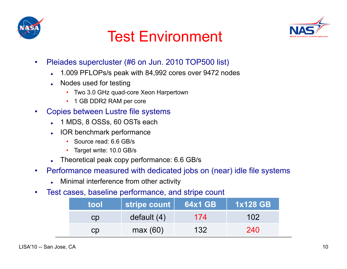



## Test Environment

- Pleiades supercluster (#6 on Jun. 2010 TOP500 list)
	- 1.009 PFLOPs/s peak with 84,992 cores over 9472 nodes
	- Nodes used for testing
		- Two 3.0 GHz quad-core Xeon Harpertown
		- 1 GB DDR2 RAM per core
- Copies between Lustre file systems
	- ◆ 1 MDS, 8 OSSs, 60 OSTs each
	- IOR benchmark performance
		- Source read: 6.6 GB/s
		- Target write: 10.0 GB/s
	- Theoretical peak copy performance: 6.6 GB/s
- Performance measured with dedicated jobs on (near) idle file systems
	- Minimal interference from other activity
- Test cases, baseline performance, and stripe count

| tool | stripe count  | 64x1 GB | <b>1x128 GB</b> |
|------|---------------|---------|-----------------|
| CD   | default $(4)$ | 174     | 102             |
| CD   | max(60)       | 132     | 240             |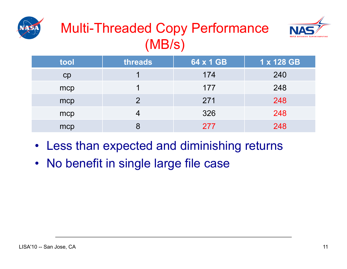

## Multi-Threaded Copy Performance (MB/s)



| tool | threads | 64 x 1 GB | 1 x 128 GB |
|------|---------|-----------|------------|
| CD   |         | 174       | 240        |
| mcp  |         | 177       | 248        |
| mcp  | 2       | 271       | 248        |
| mcp  |         | 326       | 248        |
| mcp  |         | 277       | 248        |

- Less than expected and diminishing returns
- No benefit in single large file case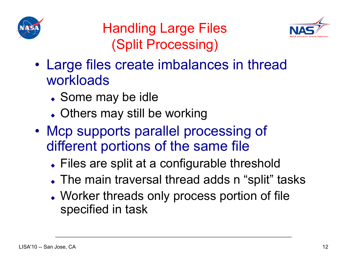



### Handling Large Files (Split Processing)

- Large files create imbalances in thread workloads
	- Some may be idle
	- Others may still be working
- Mcp supports parallel processing of different portions of the same file
	- Files are split at a configurable threshold
	- The main traversal thread adds n "split" tasks
	- Worker threads only process portion of file specified in task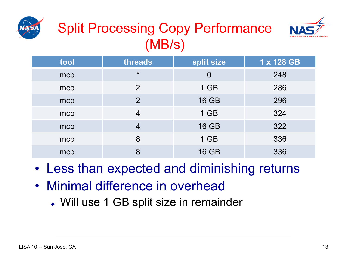





| tool | threads        | split size     | 1 x 128 GB |
|------|----------------|----------------|------------|
| mcp  | $\star$        | $\overline{0}$ | 248        |
| mcp  | 2              | $1$ GB         | 286        |
| mcp  | $\overline{2}$ | <b>16 GB</b>   | 296        |
| mcp  | 4              | $1$ GB         | 324        |
| mcp  | 4              | <b>16 GB</b>   | 322        |
| mcp  | 8              | $1$ GB         | 336        |
| mcp  | 8              | <b>16 GB</b>   | 336        |

- Less than expected and diminishing returns
- Minimal difference in overhead
	- Will use 1 GB split size in remainder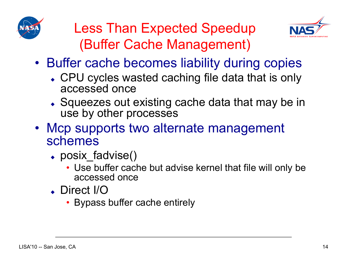



### Less Than Expected Speedup (Buffer Cache Management)

- Buffer cache becomes liability during copies
	- CPU cycles wasted caching file data that is only accessed once
	- Squeezes out existing cache data that may be in use by other processes
- Mcp supports two alternate management schemes
	- posix fadvise()
		- Use buffer cache but advise kernel that file will only be accessed once
	- Direct I/O
		- Bypass buffer cache entirely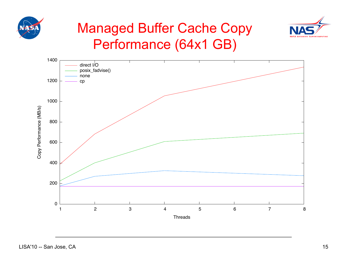



### Managed Buffer Cache Copy Performance (64x1 GB)

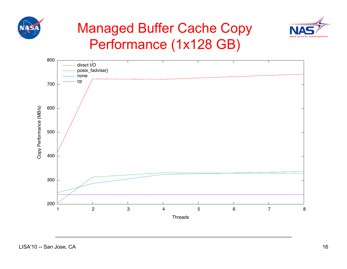



### Managed Buffer Cache Copy Performance (1x128 GB)

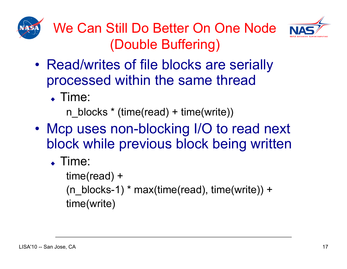



We Can Still Do Better On One Node (Double Buffering)

- Read/writes of file blocks are serially processed within the same thread
	- Time:

n\_blocks \* (time(read) + time(write))

- Mcp uses non-blocking I/O to read next block while previous block being written
	- Time:

time(read) +  $(n_blocks-1)$  \* max(time(read), time(write)) + time(write)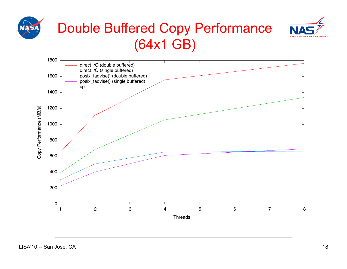

### Double Buffered Copy Performance (64x1 GB)



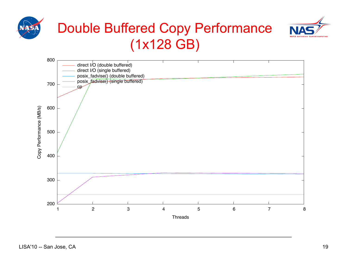





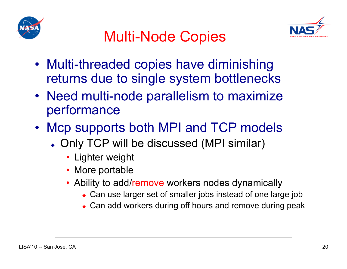



## Multi-Node Copies

- Multi-threaded copies have diminishing returns due to single system bottlenecks
- Need multi-node parallelism to maximize performance
- Mcp supports both MPI and TCP models
	- Only TCP will be discussed (MPI similar)
		- Lighter weight
		- More portable
		- Ability to add/remove workers nodes dynamically
			- Can use larger set of smaller jobs instead of one large job
			- Can add workers during off hours and remove during peak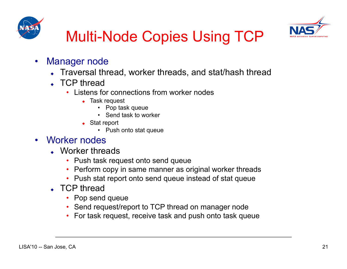



# Multi-Node Copies Using TCP

- Manager node
	- Traversal thread, worker threads, and stat/hash thread
	- ↓ TCP thread
		- Listens for connections from worker nodes
			- ◆ Task request
				- Pop task queue
				- Send task to worker
			- ◆ Stat report
				- Push onto stat queue

#### • Worker nodes

- Worker threads
	- Push task request onto send queue
	- Perform copy in same manner as original worker threads
	- Push stat report onto send queue instead of stat queue
- ↓ TCP thread
	- Pop send queue
	- Send request/report to TCP thread on manager node
	- For task request, receive task and push onto task queue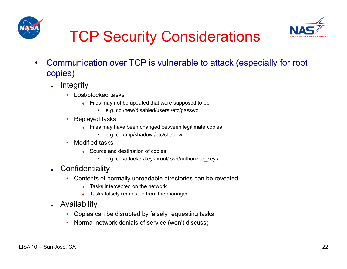



# TCP Security Considerations

- Communication over TCP is vulnerable to attack (especially for root copies)
	- $\leftarrow$  Integrity
		- Lost/blocked tasks
			- Files may not be updated that were supposed to be
				- e.g. cp /new/disabled/users /etc/passwd
		- Replayed tasks
			- Files may have been changed between legitimate copies
				- e.g. cp /tmp/shadow /etc/shadow
		- Modified tasks
			- ◆ Source and destination of copies
				- e.g. cp /attacker/keys /root/.ssh/authorized\_keys
	- Confidentiality
		- Contents of normally unreadable directories can be revealed
			- Tasks intercepted on the network
			- Tasks falsely requested from the manager
	- Availability
		- Copies can be disrupted by falsely requesting tasks
		- Normal network denials of service (won't discuss)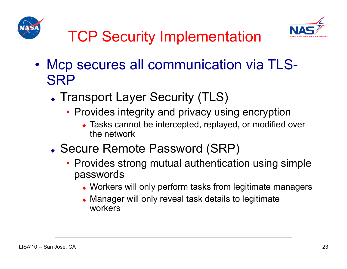



- Mcp secures all communication via TLS-**SRP** 
	- Transport Layer Security (TLS)
		- Provides integrity and privacy using encryption
			- ◆ Tasks cannot be intercepted, replayed, or modified over the network
	- Secure Remote Password (SRP)
		- Provides strong mutual authentication using simple passwords
			- Workers will only perform tasks from legitimate managers
			- Manager will only reveal task details to legitimate workers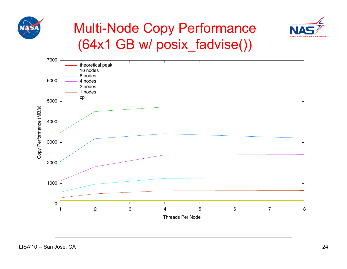



### Multi-Node Copy Performance (64x1 GB w/ posix\_fadvise())

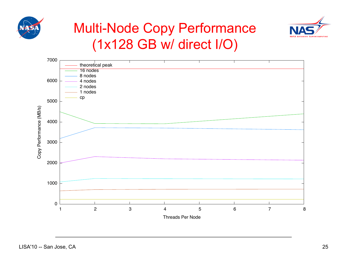



### Multi-Node Copy Performance (1x128 GB w/ direct I/O)

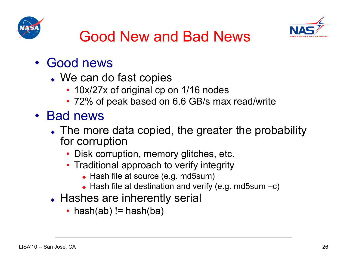



## Good New and Bad News

- Good news
	- We can do fast copies
		- 10x/27x of original cp on 1/16 nodes
		- 72% of peak based on 6.6 GB/s max read/write
- Bad news
	- The more data copied, the greater the probability for corruption
		- Disk corruption, memory glitches, etc.
		- Traditional approach to verify integrity
			- Hash file at source (e.g. md5sum)
			- $\leftrightarrow$  Hash file at destination and verify (e.g. md5sum  $-c$ )
	- Hashes are inherently serial
		- hash(ab)  $!=$  hash(ba)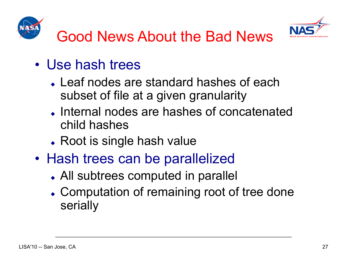



- Use hash trees
	- Leaf nodes are standard hashes of each subset of file at a given granularity
	- Internal nodes are hashes of concatenated child hashes
	- Root is single hash value
- Hash trees can be parallelized
	- All subtrees computed in parallel
	- Computation of remaining root of tree done serially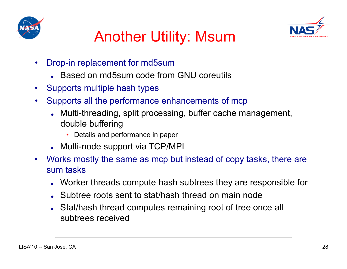



## Another Utility: Msum

- Drop-in replacement for md5sum
	- Based on md5sum code from GNU coreutils
- Supports multiple hash types
- Supports all the performance enhancements of mcp
	- Multi-threading, split processing, buffer cache management, double buffering
		- Details and performance in paper
	- Multi-node support via TCP/MPI
- Works mostly the same as mcp but instead of copy tasks, there are sum tasks
	- Worker threads compute hash subtrees they are responsible for
	- Subtree roots sent to stat/hash thread on main node
	- Stat/hash thread computes remaining root of tree once all subtrees received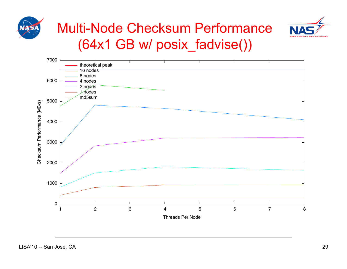



### Multi-Node Checksum Performance (64x1 GB w/ posix\_fadvise())

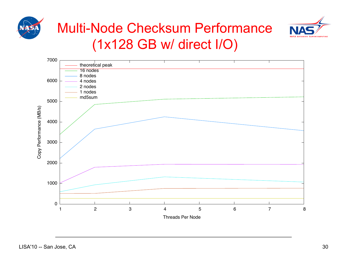



### Multi-Node Checksum Performance (1x128 GB w/ direct I/O)

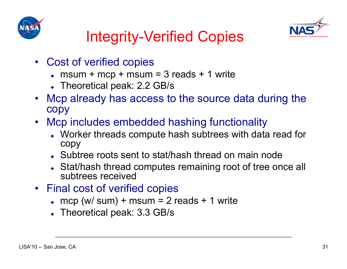



# Integrity-Verified Copies

- Cost of verified copies
	- $\bullet$  msum + mcp + msum = 3 reads + 1 write
	- Theoretical peak: 2.2 GB/s
- Mcp already has access to the source data during the copy
- Mcp includes embedded hashing functionality
	- Worker threads compute hash subtrees with data read for copy
	- Subtree roots sent to stat/hash thread on main node
	- Stat/hash thread computes remaining root of tree once all subtrees received
- Final cost of verified copies
	- $\bullet$  mcp (w/ sum) + msum = 2 reads + 1 write
	- Theoretical peak: 3.3 GB/s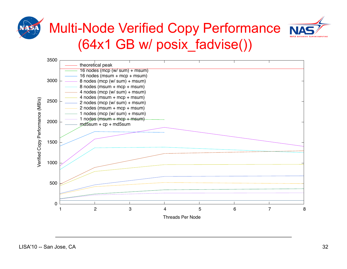



## Multi-Node Verified Copy Performance (64x1 GB w/ posix\_fadvise())

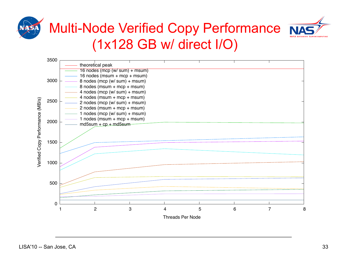



### Multi-Node Verified Copy Performance NA (1x128 GB w/ direct I/O)

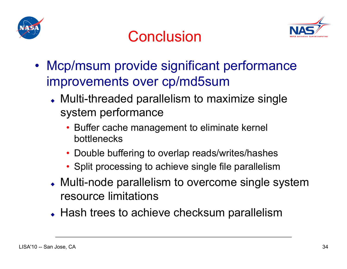



## Conclusion

- Mcp/msum provide significant performance improvements over cp/md5sum
	- Multi-threaded parallelism to maximize single system performance
		- Buffer cache management to eliminate kernel bottlenecks
		- Double buffering to overlap reads/writes/hashes
		- Split processing to achieve single file parallelism
	- Multi-node parallelism to overcome single system resource limitations
	- Hash trees to achieve checksum parallelism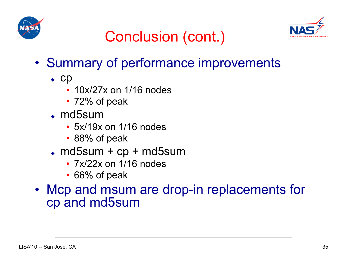



# Conclusion (cont.)

- Summary of performance improvements
	- $\bullet$  Cp
		- 10x/27x on 1/16 nodes
		- 72% of peak
	- md5sum
		- 5x/19x on 1/16 nodes
		- 88% of peak
	- $\bullet$  md5sum + cp + md5sum
		- 7x/22x on 1/16 nodes
		- 66% of peak
- Mcp and msum are drop-in replacements for cp and md5sum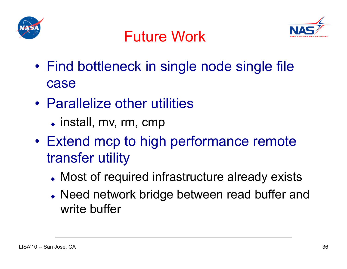





- Find bottleneck in single node single file case
- Parallelize other utilities
	- install, mv, rm, cmp
- Extend mcp to high performance remote transfer utility
	- Most of required infrastructure already exists
	- Need network bridge between read buffer and write buffer